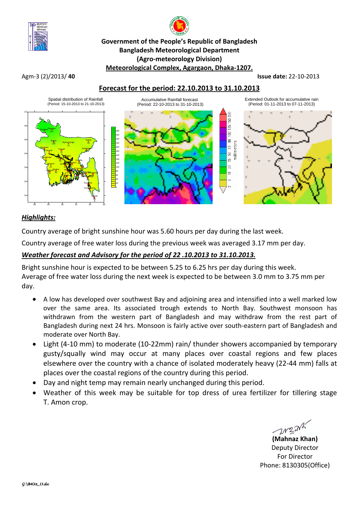

# **Government of the People's Republic of Bangladesh Bangladesh Meteorological Department (Agro-meteorology Division) Meteorological Complex, Agargaon, Dhaka-1207.**

#### Agm-3 (2)/2013/ **40 Issue date:** 22-10-2013

## **Forecast for the period: 22.10.2013 to 31.10.2013**



## *Highlights:*

Country average of bright sunshine hour was 5.60 hours per day during the last week.

Country average of free water loss during the previous week was averaged 3.17 mm per day.

## *Weather forecast and Advisory for the period of 22 .10.2013 to 31.10.2013.*

Bright sunshine hour is expected to be between 5.25 to 6.25 hrs per day during this week. Average of free water loss during the next week is expected to be between 3.0 mm to 3.75 mm per day.

- A low has developed over southwest Bay and adjoining area and intensified into a well marked low over the same area. Its associated trough extends to North Bay. Southwest monsoon has withdrawn from the western part of Bangladesh and may withdraw from the rest part of Bangladesh during next 24 hrs. Monsoon is fairly active over south-eastern part of Bangladesh and moderate over North Bay.
- Light (4-10 mm) to moderate (10-22mm) rain/ thunder showers accompanied by temporary gusty/squally wind may occur at many places over coastal regions and few places elsewhere over the country with a chance of isolated moderately heavy (22-44 mm) falls at places over the coastal regions of the country during this period.
- Day and night temp may remain nearly unchanged during this period.
- Weather of this week may be suitable for top dress of urea fertilizer for tillering stage T. Amon crop.

**(Mahnaz Khan)**

Deputy Director For Director Phone: 8130305(Office)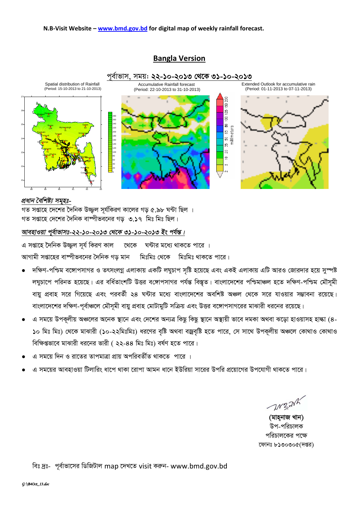#### N.B-Visit Website - www.bmd.gov.bd for digital map of weekly rainfall forecast.



## **Bangla Version**

#### প্ৰধান বৈশিষ্ট্য সমুহঃ-

গত সপ্তাহে দেশের দৈনিক উজ্জল সূর্যকিরণ কালের গড় ৫.৯৮ ঘন্টা ছিল । গত সপ্তাহে দেশের দৈনিক বাষ্পীভবনের গড় ৩.১৭ মিঃ মিঃ ছিল।

## আবহাওয়া পূর্বাভাসঃ-২২-১০-২০১৩ থেকে ৩১-১০-২০১৩ ইং পর্যন্ত।

এ সপ্তাহে দৈনিক উজ্জল সূৰ্য কিৱণ কাল থেকে ঘন্টার মধ্যে থাকতে পারে । আগামী সপ্তাহের বাষ্পীভবনের দৈনিক গড মান । মিঃমিঃ থেকে । মিঃমিঃ থাকতে পারে।

- দক্ষিণ-পশ্চিম বঙ্গোপসাগর ও তৎসংলগ্ন এলাকায় একটি লঘুচাপ সৃষ্টি হয়েছে এবং একই এলাকায় এটি আরও জোরদার হয়ে সুস্পষ্ট লঘুচাপে পরিনত হয়েছে। এর বর্ধিতাংশটি উত্তর বঙ্গোপসাগর পর্যন্ত বিস্তৃত। বাংলাদেশের পশ্চিমাঞ্চল হতে দক্ষিণ-পশ্চিম মৌসুমী বায়ু প্রবাহ সরে গিয়েছে এবং পরবর্তী ২৪ ঘন্টার মধ্যে বাংলাদেশের অবশিষ্ট অঞ্চল থেকে সরে যাওয়ার সম্ভাবনা রয়েছে। বাংলাদেশের দক্ষিণ-পূর্বাঞ্চলে মৌসমী বায়ু প্রবাহ মোটামুটি সক্রিয় এবং উত্তর বঙ্গোপসাগরের মাঝারী ধরনের রয়েছে।
- এ সময়ে উপকূলীয় অঞ্চলের অনেক স্থানে এবং দেশের অন্যত্র কিছু কিছু স্থানে অস্থায়ী ভাবে দমকা অথবা ঝড়ো হাওয়াসহ হাল্কা (৪-১০ মিঃ মিঃ) থেকে মাঝারী (১০-২২মিঃমিঃ) ধরণের বৃষ্টি অথবা বজ্রবৃষ্টি হতে পারে, সে সাথে উপকূলীয় অঞ্চলে কোথাও কোথাও বিক্ষিপ্তভাবে মাঝারী ধরনের ভারী ( ২২-৪৪ মিঃ মিঃ) বর্ষণ হতে পারে।
- এ সময়ে দিন ও রাতের তাপমাত্রা প্রায় অপরিবর্তীত থাকতে পারে ।
- এ সময়ের আবহাওয়া টিলারিং ধাপে থাকা রোপা আমন ধানে ইউরিয়া সারের উপরি প্রয়োগের উপযোগী থাকতে পারে।

**WEAK** 

(মাহ্নাজ খান) উপ-পরিচালক পরিচালকের পক্ষে ফোনঃ ৮১৩০৩০৫(দপ্তর)

বিঃ দ্রঃ- পূর্বাভাসের ডিজিটাল map দেখতে visit করুন- www.bmd.gov.bd